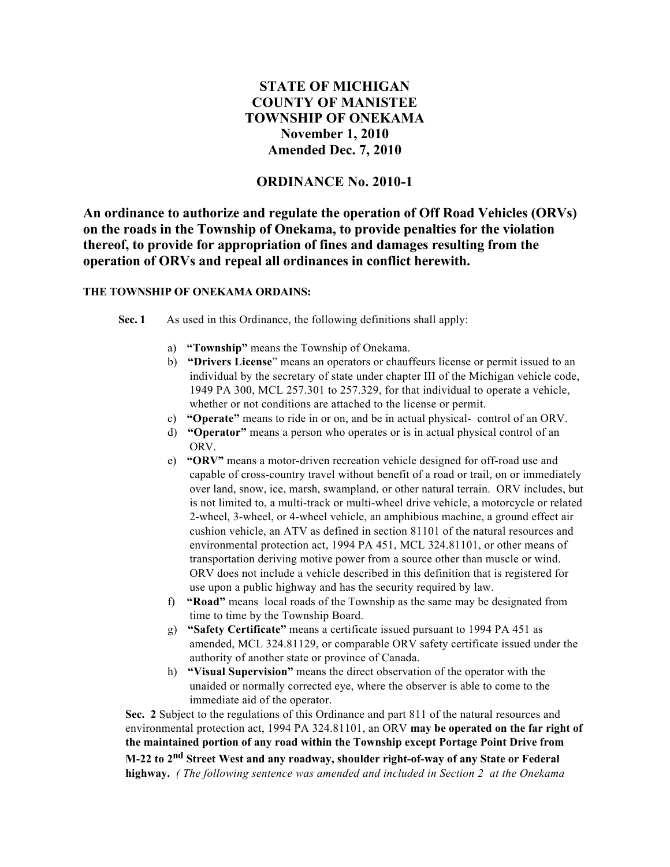# **STATE OF MICHIGAN COUNTY OF MANISTEE TOWNSHIP OF ONEKAMA November 1, 2010 Amended Dec. 7, 2010**

## **ORDINANCE No. 2010-1**

**An ordinance to authorize and regulate the operation of Off Road Vehicles (ORVs) on the roads in the Township of Onekama, to provide penalties for the violation thereof, to provide for appropriation of fines and damages resulting from the operation of ORVs and repeal all ordinances in conflict herewith.**

#### **THE TOWNSHIP OF ONEKAMA ORDAINS:**

**Sec. 1** As used in this Ordinance, the following definitions shall apply:

- a) **"Township"** means the Township of Onekama.
- b) **"Drivers License**" means an operators or chauffeurs license or permit issued to an individual by the secretary of state under chapter III of the Michigan vehicle code, 1949 PA 300, MCL 257.301 to 257.329, for that individual to operate a vehicle, whether or not conditions are attached to the license or permit.
- c) **"Operate"** means to ride in or on, and be in actual physical- control of an ORV.
- d) **"Operator"** means a person who operates or is in actual physical control of an ORV.
- e) **"ORV"** means a motor-driven recreation vehicle designed for off-road use and capable of cross-country travel without benefit of a road or trail, on or immediately over land, snow, ice, marsh, swampland, or other natural terrain. ORV includes, but is not limited to, a multi-track or multi-wheel drive vehicle, a motorcycle or related 2-wheel, 3-wheel, or 4-wheel vehicle, an amphibious machine, a ground effect air cushion vehicle, an ATV as defined in section 81101 of the natural resources and environmental protection act, 1994 PA 451, MCL 324.81101, or other means of transportation deriving motive power from a source other than muscle or wind. ORV does not include a vehicle described in this definition that is registered for use upon a public highway and has the security required by law.
- f) **"Road"** means local roads of the Township as the same may be designated from time to time by the Township Board.
- g) **"Safety Certificate"** means a certificate issued pursuant to 1994 PA 451 as amended, MCL 324.81129, or comparable ORV safety certificate issued under the authority of another state or province of Canada.
- h) **"Visual Supervision"** means the direct observation of the operator with the unaided or normally corrected eye, where the observer is able to come to the immediate aid of the operator.

**Sec. 2** Subject to the regulations of this Ordinance and part 811 of the natural resources and environmental protection act, 1994 PA 324.81101, an ORV **may be operated on the far right of the maintained portion of any road within the Township except Portage Point Drive from M-22 to 2nd Street West and any roadway, shoulder right-of-way of any State or Federal highway.** *( The following sentence was amended and included in Section 2 at the Onekama*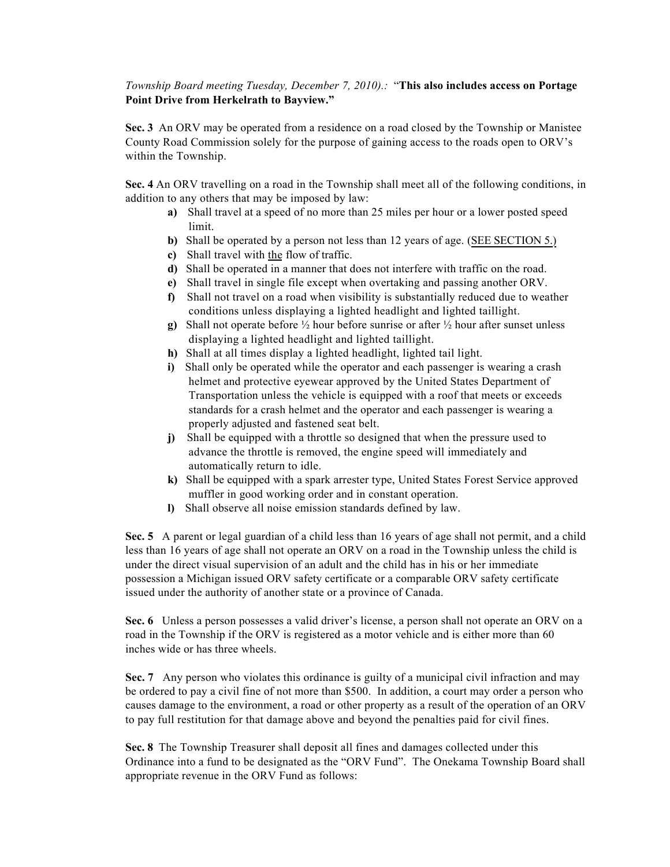#### *Township Board meeting Tuesday, December 7, 2010).:* "**This also includes access on Portage Point Drive from Herkelrath to Bayview."**

**Sec. 3** An ORV may be operated from a residence on a road closed by the Township or Manistee County Road Commission solely for the purpose of gaining access to the roads open to ORV's within the Township.

**Sec. 4** An ORV travelling on a road in the Township shall meet all of the following conditions, in addition to any others that may be imposed by law:

- **a)** Shall travel at a speed of no more than 25 miles per hour or a lower posted speed limit.
- **b)** Shall be operated by a person not less than 12 years of age. (SEE SECTION 5.)
- **c)** Shall travel with the flow of traffic.
- **d)** Shall be operated in a manner that does not interfere with traffic on the road.
- **e)** Shall travel in single file except when overtaking and passing another ORV.
- **f)** Shall not travel on a road when visibility is substantially reduced due to weather conditions unless displaying a lighted headlight and lighted taillight.
- **g)** Shall not operate before ½ hour before sunrise or after ½ hour after sunset unless displaying a lighted headlight and lighted taillight.
- **h)** Shall at all times display a lighted headlight, lighted tail light.
- **i)** Shall only be operated while the operator and each passenger is wearing a crash helmet and protective eyewear approved by the United States Department of Transportation unless the vehicle is equipped with a roof that meets or exceeds standards for a crash helmet and the operator and each passenger is wearing a properly adjusted and fastened seat belt.
- **j)** Shall be equipped with a throttle so designed that when the pressure used to advance the throttle is removed, the engine speed will immediately and automatically return to idle.
- **k)** Shall be equipped with a spark arrester type, United States Forest Service approved muffler in good working order and in constant operation.
- **l)** Shall observe all noise emission standards defined by law.

**Sec. 5** A parent or legal guardian of a child less than 16 years of age shall not permit, and a child less than 16 years of age shall not operate an ORV on a road in the Township unless the child is under the direct visual supervision of an adult and the child has in his or her immediate possession a Michigan issued ORV safety certificate or a comparable ORV safety certificate issued under the authority of another state or a province of Canada.

**Sec. 6** Unless a person possesses a valid driver's license, a person shall not operate an ORV on a road in the Township if the ORV is registered as a motor vehicle and is either more than 60 inches wide or has three wheels.

**Sec. 7** Any person who violates this ordinance is guilty of a municipal civil infraction and may be ordered to pay a civil fine of not more than \$500. In addition, a court may order a person who causes damage to the environment, a road or other property as a result of the operation of an ORV to pay full restitution for that damage above and beyond the penalties paid for civil fines.

**Sec. 8** The Township Treasurer shall deposit all fines and damages collected under this Ordinance into a fund to be designated as the "ORV Fund". The Onekama Township Board shall appropriate revenue in the ORV Fund as follows: